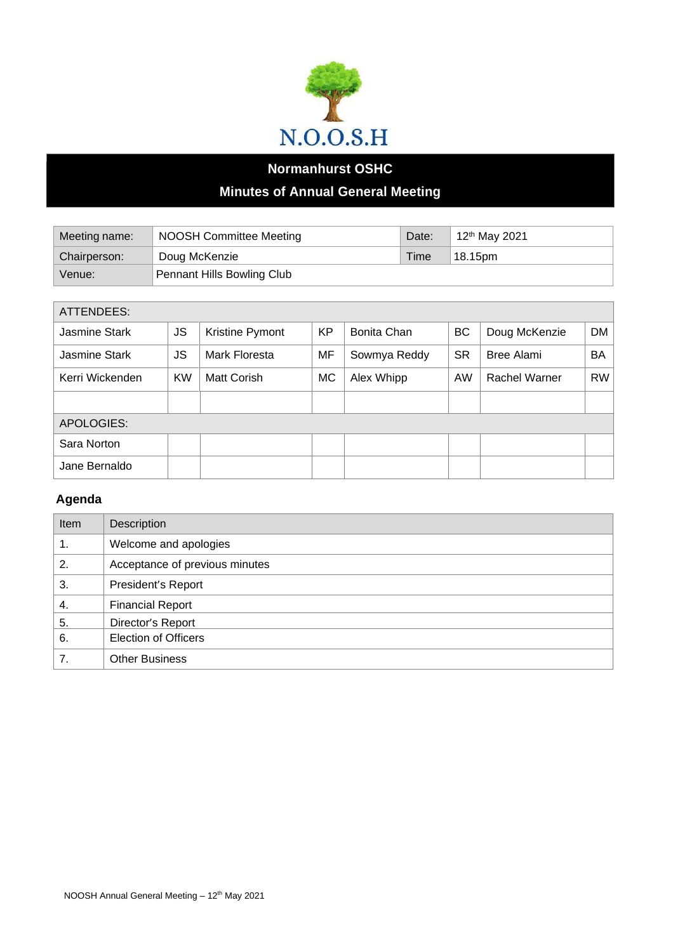

## **Normanhurst OSHC Minutes of Annual General Meeting**

| Meeting name: | <b>NOOSH Committee Meeting</b>    | Date: | 12 <sup>th</sup> May 2021 |
|---------------|-----------------------------------|-------|---------------------------|
| Chairperson:  | Doug McKenzie                     | Time  | 18.15pm                   |
| Venue:        | <b>Pennant Hills Bowling Club</b> |       |                           |

| <b>ATTENDEES:</b> |           |                 |           |              |           |               |           |
|-------------------|-----------|-----------------|-----------|--------------|-----------|---------------|-----------|
| Jasmine Stark     | <b>JS</b> | Kristine Pymont | <b>KP</b> | Bonita Chan  | BC        | Doug McKenzie | DM        |
| Jasmine Stark     | JS        | Mark Floresta   | MF        | Sowmya Reddy | <b>SR</b> | Bree Alami    | BA        |
| Kerri Wickenden   | <b>KW</b> | Matt Corish     | МC        | Alex Whipp   | AW        | Rachel Warner | <b>RW</b> |
|                   |           |                 |           |              |           |               |           |
| APOLOGIES:        |           |                 |           |              |           |               |           |
| Sara Norton       |           |                 |           |              |           |               |           |
| Jane Bernaldo     |           |                 |           |              |           |               |           |

## **Agenda**

| Item | Description                    |
|------|--------------------------------|
| 1.   | Welcome and apologies          |
| 2.   | Acceptance of previous minutes |
| 3.   | President's Report             |
| 4.   | <b>Financial Report</b>        |
| 5.   | Director's Report              |
| 6.   | <b>Election of Officers</b>    |
| 7.   | <b>Other Business</b>          |